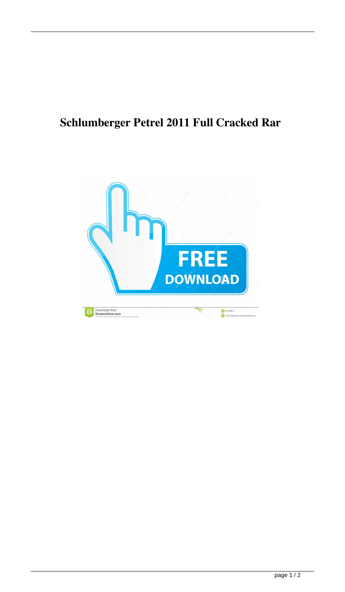## **Schlumberger Petrel 2011 Full Cracked Rar**